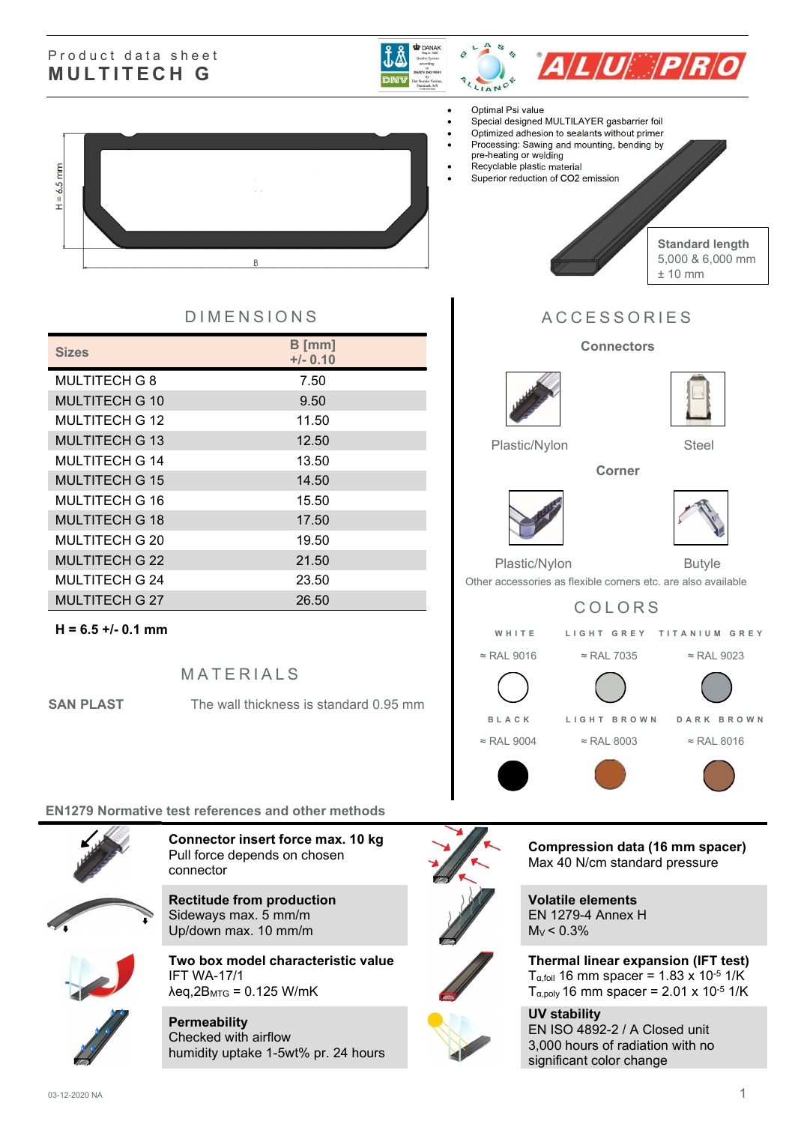#### Product data sheet MULTITECH G





#### Optimal Psi value

- Special designed MULTILAYER gasbarrier foil
- Optimized adhesion to sealants without primer
- Processing: Sawing and mounting, bending by
- pre-heating or welding
- Recyclable plastic material
- Superior reduction of CO2 emission



Standard length 5,000 & 6,000 mm ± 10 mm

### D I MENSIONS A CCESSORIES

#### **Connectors**

Corner





Plastic/Nylon Steel





Plastic/Nylon Butyle

Other accessories as flexible corners etc. are also available

## COLORS W H I T E L I G H T G R E Y T I T A N I U M G R E Y



# $H = 6.5$  mm **B**

| <b>Sizes</b>          | $B$ [mm]<br>$+/- 0.10$ |
|-----------------------|------------------------|
| <b>MULTITECH G 8</b>  | 7.50                   |
| <b>MULTITECH G 10</b> | 9.50                   |
| MULTITECH G 12        | 11.50                  |
| <b>MULTITECH G 13</b> | 12.50                  |
| <b>MULTITECH G 14</b> | 13.50                  |
| <b>MULTITECH G 15</b> | 14.50                  |
| MULTITECH G 16        | 15.50                  |
| <b>MULTITECH G 18</b> | 17.50                  |
| <b>MULTITECH G 20</b> | 19.50                  |
| <b>MULTITECH G 22</b> | 21.50                  |
| MULTITECH G 24        | 23.50                  |
| <b>MULTITECH G 27</b> | 26.50                  |

#### $H = 6.5 +/- 0.1$  mm

**MATERIALS** 

**SAN PLAST** The wall thickness is standard 0.95 mm

#### EN1279 Normative test references and other methods



Connector insert force max. 10 kg Pull force depends on chosen connector

Rectitude from production Sideways max. 5 mm/m Up/down max. 10 mm/m



Two box model characteristic value IFT WA-17/1  $\lambda$ eq,2B<sub>MTG</sub> = 0.125 W/mK

**Permeability** Checked with airflow humidity uptake 1-5wt% pr. 24 hours



Compression data (16 mm spacer) Max 40 N/cm standard pressure

Volatile elements EN 1279-4 Annex H  $M_V < 0.3\%$ 

Thermal linear expansion (IFT test) Tα,foil 16 mm spacer = 1.83 x 10-5 1/K Tα,poly 16 mm spacer = 2.01 x 10-5 1/K

UV stability EN ISO 4892-2 / A Closed unit 3,000 hours of radiation with no significant color change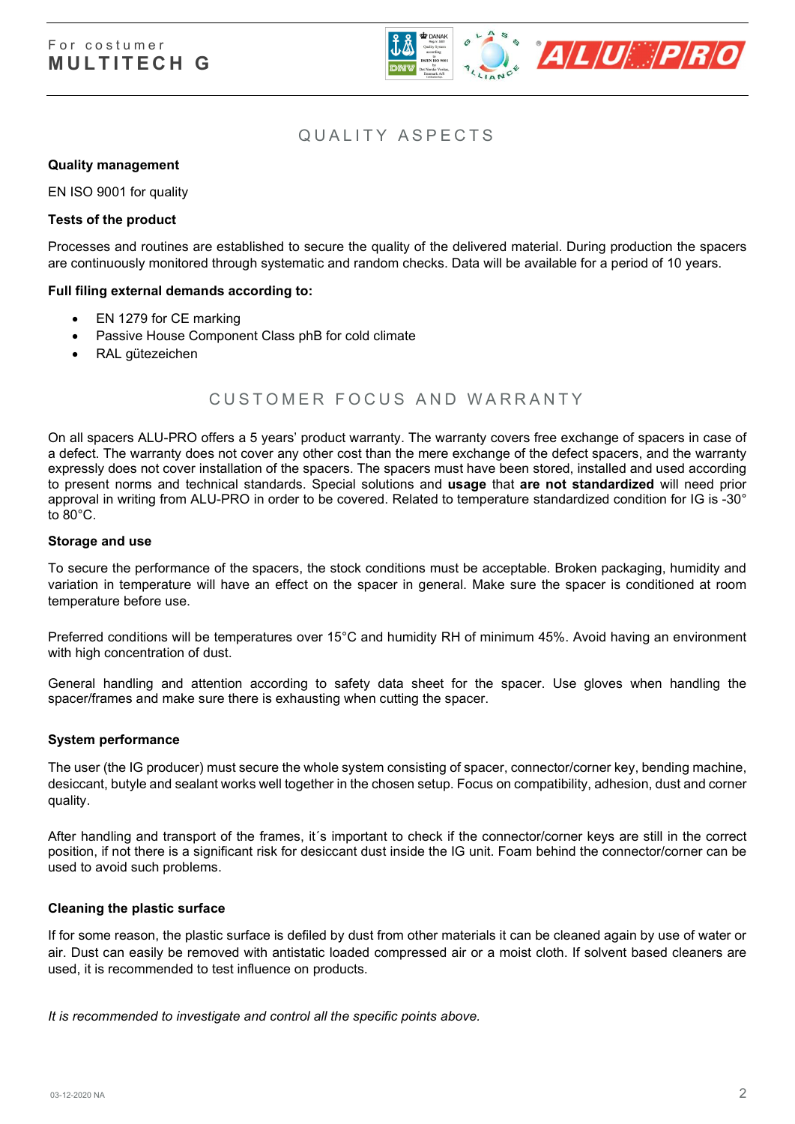

#### QUALITY ASPECTS

#### Quality management

EN ISO 9001 for quality

#### Tests of the product

Processes and routines are established to secure the quality of the delivered material. During production the spacers are continuously monitored through systematic and random checks. Data will be available for a period of 10 years.

#### Full filing external demands according to:

- EN 1279 for CE marking
- Passive House Component Class phB for cold climate
- RAL gütezeichen

#### CUSTOMER FOCUS AND WARRANTY

On all spacers ALU-PRO offers a 5 years' product warranty. The warranty covers free exchange of spacers in case of a defect. The warranty does not cover any other cost than the mere exchange of the defect spacers, and the warranty expressly does not cover installation of the spacers. The spacers must have been stored, installed and used according to present norms and technical standards. Special solutions and usage that are not standardized will need prior approval in writing from ALU-PRO in order to be covered. Related to temperature standardized condition for IG is -30° to 80°C.

#### Storage and use

To secure the performance of the spacers, the stock conditions must be acceptable. Broken packaging, humidity and variation in temperature will have an effect on the spacer in general. Make sure the spacer is conditioned at room temperature before use.

Preferred conditions will be temperatures over 15°C and humidity RH of minimum 45%. Avoid having an environment with high concentration of dust.

General handling and attention according to safety data sheet for the spacer. Use gloves when handling the spacer/frames and make sure there is exhausting when cutting the spacer.

#### System performance

The user (the IG producer) must secure the whole system consisting of spacer, connector/corner key, bending machine, desiccant, butyle and sealant works well together in the chosen setup. Focus on compatibility, adhesion, dust and corner quality.

After handling and transport of the frames, it´s important to check if the connector/corner keys are still in the correct position, if not there is a significant risk for desiccant dust inside the IG unit. Foam behind the connector/corner can be used to avoid such problems.

#### Cleaning the plastic surface

If for some reason, the plastic surface is defiled by dust from other materials it can be cleaned again by use of water or air. Dust can easily be removed with antistatic loaded compressed air or a moist cloth. If solvent based cleaners are used, it is recommended to test influence on products.

It is recommended to investigate and control all the specific points above.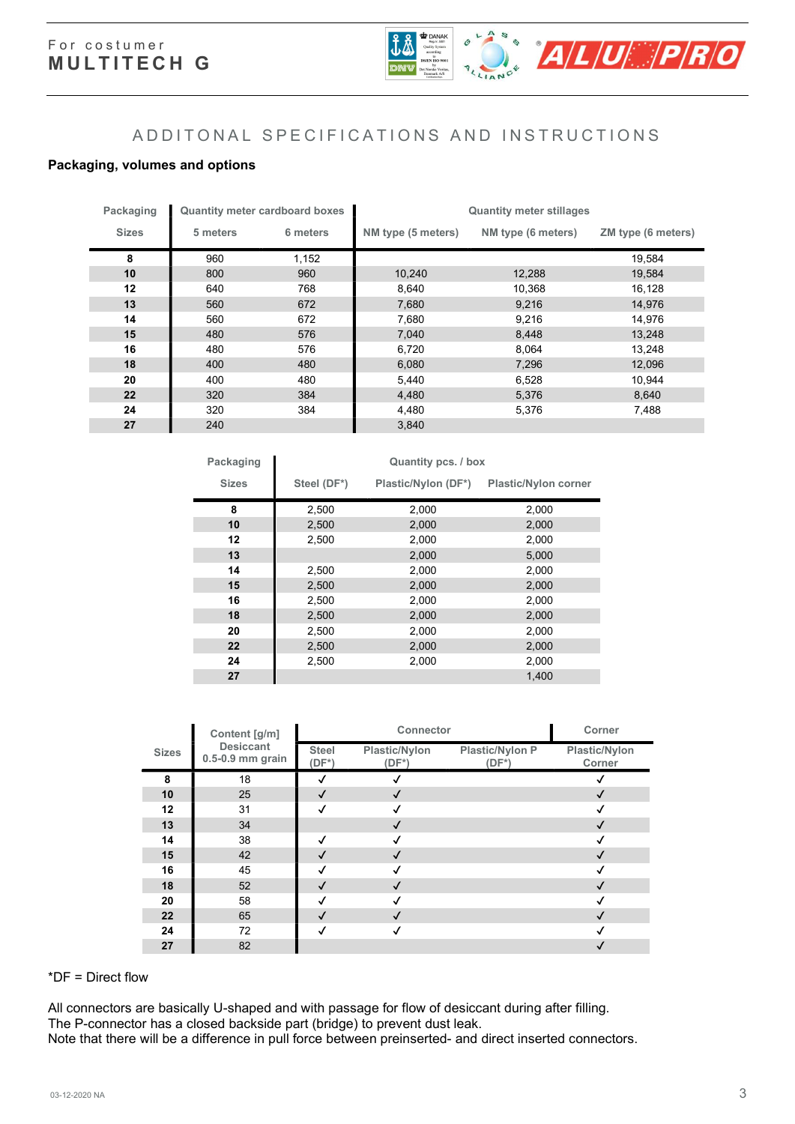

#### A D D I T O N A L S P E C I F I C A T I O N S A N D IN ST R U C T I O N S

#### Packaging, volumes and options

| Packaging    |          | <b>Quantity meter cardboard boxes</b> | <b>Quantity meter stillages</b> |                    |                    |  |  |
|--------------|----------|---------------------------------------|---------------------------------|--------------------|--------------------|--|--|
| <b>Sizes</b> | 5 meters | 6 meters                              | NM type (5 meters)              | NM type (6 meters) | ZM type (6 meters) |  |  |
| 8            | 960      | 1,152                                 |                                 |                    | 19,584             |  |  |
| 10           | 800      | 960                                   | 10,240                          | 12,288             | 19,584             |  |  |
| 12           | 640      | 768                                   | 8,640                           | 10,368             | 16,128             |  |  |
| 13           | 560      | 672                                   | 7,680                           | 9,216              | 14,976             |  |  |
| 14           | 560      | 672                                   | 7,680                           | 9,216              | 14,976             |  |  |
| 15           | 480      | 576                                   | 7,040                           | 8,448              | 13,248             |  |  |
| 16           | 480      | 576                                   | 6,720                           | 8,064              | 13,248             |  |  |
| 18           | 400      | 480                                   | 6,080                           | 7,296              | 12,096             |  |  |
| 20           | 400      | 480                                   | 5,440                           | 6,528              | 10,944             |  |  |
| 22           | 320      | 384                                   | 4,480                           | 5,376              | 8,640              |  |  |
| 24           | 320      | 384                                   | 4,480                           | 5,376              | 7,488              |  |  |
| 27           | 240      |                                       | 3,840                           |                    |                    |  |  |

| Packaging    | Quantity pcs. / box |                     |                             |  |  |  |  |  |  |
|--------------|---------------------|---------------------|-----------------------------|--|--|--|--|--|--|
| <b>Sizes</b> | Steel (DF*)         | Plastic/Nylon (DF*) | <b>Plastic/Nylon corner</b> |  |  |  |  |  |  |
| 8            | 2,500               | 2,000               | 2,000                       |  |  |  |  |  |  |
| 10           | 2,500               | 2,000               | 2,000                       |  |  |  |  |  |  |
| 12           | 2,500               | 2,000               | 2,000                       |  |  |  |  |  |  |
| 13           |                     | 2,000               | 5,000                       |  |  |  |  |  |  |
| 14           | 2,500               | 2,000               | 2,000                       |  |  |  |  |  |  |
| 15           | 2,500               | 2,000               | 2,000                       |  |  |  |  |  |  |
| 16           | 2,500               | 2,000               | 2,000                       |  |  |  |  |  |  |
| 18           | 2,500               | 2,000               | 2,000                       |  |  |  |  |  |  |
| 20           | 2,500               | 2,000               | 2,000                       |  |  |  |  |  |  |
| 22           | 2,500               | 2,000               | 2,000                       |  |  |  |  |  |  |
| 24           | 2,500               | 2,000               | 2,000                       |  |  |  |  |  |  |
| 27           |                     |                     | 1.400                       |  |  |  |  |  |  |

|              | Content [g/m]                        |                          | Corner                    |                                    |                         |
|--------------|--------------------------------------|--------------------------|---------------------------|------------------------------------|-------------------------|
| <b>Sizes</b> | <b>Desiccant</b><br>0.5-0.9 mm grain | <b>Steel</b><br>$(DF^*)$ | Plastic/Nylon<br>$(DF^*)$ | <b>Plastic/Nylon P</b><br>$(DF^*)$ | Plastic/Nylon<br>Corner |
| 8            | 18                                   | √                        |                           |                                    |                         |
| 10           | 25                                   | $\checkmark$             | √                         |                                    | √                       |
| 12           | 31                                   | √                        |                           |                                    |                         |
| 13           | 34                                   |                          |                           |                                    | $\mathcal{L}$           |
| 14           | 38                                   | √                        |                           |                                    | √                       |
| 15           | 42                                   | √                        |                           |                                    | $\cdot$                 |
| 16           | 45                                   | √                        |                           |                                    |                         |
| 18           | 52                                   | √                        |                           |                                    | √                       |
| 20           | 58                                   | √                        |                           |                                    |                         |
| 22           | 65                                   | √                        |                           |                                    | $\cdot$                 |
| 24           | 72                                   | √                        |                           |                                    |                         |
| 27           | 82                                   |                          |                           |                                    |                         |

#### \*DF = Direct flow

All connectors are basically U-shaped and with passage for flow of desiccant during after filling. The P-connector has a closed backside part (bridge) to prevent dust leak. Note that there will be a difference in pull force between preinserted- and direct inserted connectors.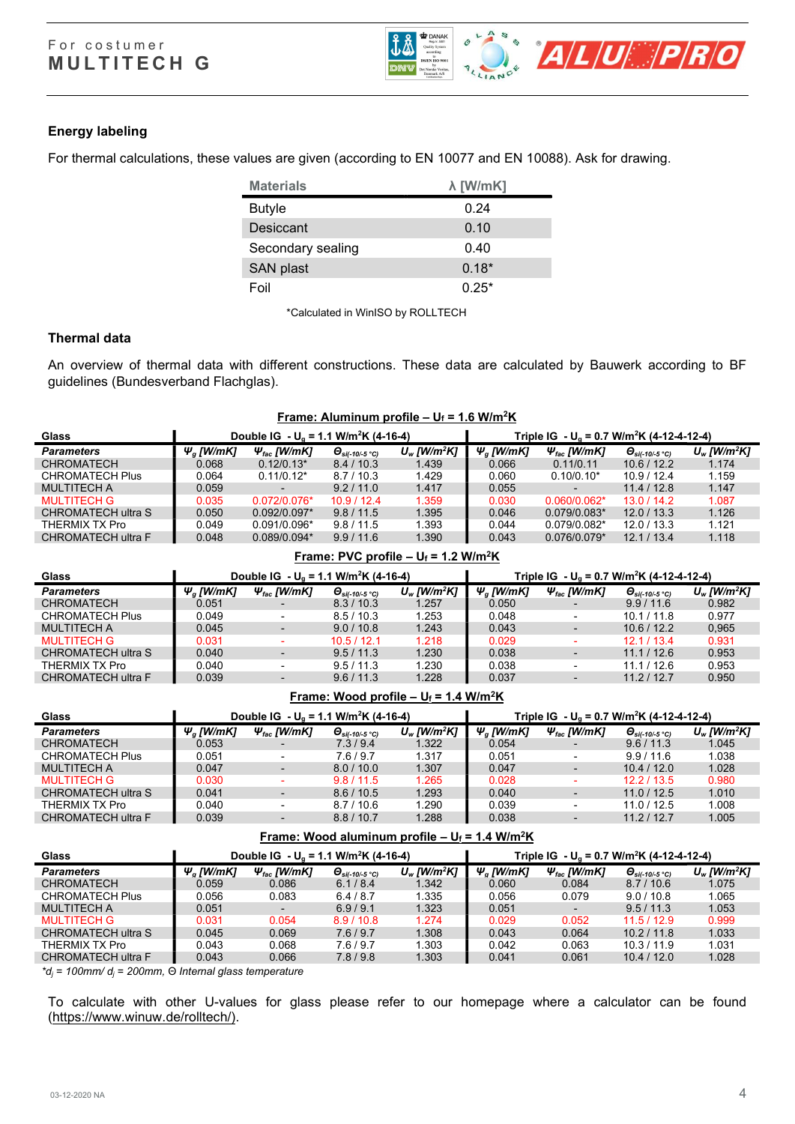

#### Energy labeling

For thermal calculations, these values are given (according to EN 10077 and EN 10088). Ask for drawing.

| <b>Materials</b>  | $\lambda$ [W/mK] |
|-------------------|------------------|
| <b>Butyle</b>     | 0.24             |
| Desiccant         | 0.10             |
| Secondary sealing | 0.40             |
| SAN plast         | $0.18*$          |
| Foil              | $0.25*$          |

\*Calculated in WinISO by ROLLTECH

#### Thermal data

An overview of thermal data with different constructions. These data are calculated by Bauwerk according to BF guidelines (Bundesverband Flachglas).

| Frame: Aluminum profile – $U_f$ = 1.6 W/m <sup>2</sup> K |                        |                                                     |                                             |                            |                 |                                                                   |                                                  |                            |  |
|----------------------------------------------------------|------------------------|-----------------------------------------------------|---------------------------------------------|----------------------------|-----------------|-------------------------------------------------------------------|--------------------------------------------------|----------------------------|--|
| Glass                                                    |                        | Double IG - $U_a$ = 1.1 W/m <sup>2</sup> K (4-16-4) |                                             |                            |                 | Triple IG - U <sub>g</sub> = 0.7 W/m <sup>2</sup> K (4-12-4-12-4) |                                                  |                            |  |
| <b>Parameters</b>                                        | $\Psi_{\alpha}$ [W/mK] | $\Psi_{\text{fac}}$ [W/mK]                          | $\bm{\Theta}_{\text{si}(-10/-5~^{\circ}C)}$ | $U_w$ [W/m <sup>2</sup> K] | $\Psi_a$ [W/mK] | $\Psi_{\text{fac}}$ [W/mK]                                        | $\bm{\Theta}_{\text{si}(-10/-5~^\circ\text{C})}$ | $U_w$ [W/m <sup>2</sup> K] |  |
| <b>CHROMATECH</b>                                        | 0.068                  | $0.12/0.13*$                                        | 8.4/10.3                                    | 1.439                      | 0.066           | 0.11/0.11                                                         | 10.6 / 12.2                                      | 1.174                      |  |
| <b>CHROMATECH Plus</b>                                   | 0.064                  | $0.11/0.12*$                                        | 8.7/10.3                                    | 1.429                      | 0.060           | $0.10/0.10*$                                                      | 10.9/12.4                                        | 1.159                      |  |
| <b>MULTITECH A</b>                                       | 0.059                  | $\blacksquare$                                      | 9.2/11.0                                    | 1.417                      | 0.055           |                                                                   | 11.4/12.8                                        | 1.147                      |  |
| <b>MULTITECH G</b>                                       | 0.035                  | $0.072/0.076*$                                      | 10.9/12.4                                   | 1.359                      | 0.030           | $0.060/0.062*$                                                    | 13.0/14.2                                        | 1.087                      |  |
| CHROMATECH ultra S                                       | 0.050                  | $0.092/0.097*$                                      | 9.8/11.5                                    | 1.395                      | 0.046           | $0.079/0.083*$                                                    | 12.0 / 13.3                                      | 1.126                      |  |
| THERMIX TX Pro                                           | 0.049                  | $0.091/0.096*$                                      | 9.8/11.5                                    | 1.393                      | 0.044           | $0.079/0.082*$                                                    | 12.0/13.3                                        | 1.121                      |  |
| CHROMATECH ultra F                                       | 0.048                  | $0.089/0.094*$                                      | 9.9/11.6                                    | 1.390                      | 0.043           | $0.076/0.079*$                                                    | 12.1 / 13.4                                      | 1.118                      |  |

| Frame: PVC profile $- U_f = 1.2 W/m^2K$ |                        |                                                                                                                                   |                                                  |                            |                 |                            |                                                  |                            |  |
|-----------------------------------------|------------------------|-----------------------------------------------------------------------------------------------------------------------------------|--------------------------------------------------|----------------------------|-----------------|----------------------------|--------------------------------------------------|----------------------------|--|
| Glass                                   |                        | Double IG - U <sub>n</sub> = 1.1 W/m <sup>2</sup> K (4-16-4)<br>Triple IG - U <sub>0</sub> = 0.7 W/m <sup>2</sup> K (4-12-4-12-4) |                                                  |                            |                 |                            |                                                  |                            |  |
| <b>Parameters</b>                       | $\Psi_{\alpha}$ [W/mK] | $\Psi_{\text{fac}}$ [W/mK]                                                                                                        | $\bm{\Theta}_{\text{si}(-10/-5~^\circ\text{C})}$ | $U_w$ [W/m <sup>2</sup> K] | $\Psi_a$ [W/mK] | $\Psi_{\text{fac}}$ [W/mK] | $\bm{\Theta}_{\text{si}(-10/-5~^\circ\text{C})}$ | $U_w$ [W/m <sup>2</sup> K] |  |
| <b>CHROMATECH</b>                       | 0.051                  | $\blacksquare$                                                                                                                    | 8.3/10.3                                         | 1.257                      | 0.050           |                            | 9.9/11.6                                         | 0.982                      |  |
| <b>CHROMATECH Plus</b>                  | 0.049                  | ۰.                                                                                                                                | 8.5/10.3                                         | 1.253                      | 0.048           |                            | 10.1 / 11.8                                      | 0.977                      |  |
| <b>MULTITECH A</b>                      | 0.045                  | ٠                                                                                                                                 | 9.0 / 10.8                                       | 1.243                      | 0.043           | ٠                          | 10.6/12.2                                        | 0.965                      |  |
| <b>MULTITECH G</b>                      | 0.031                  |                                                                                                                                   | 10.5/12.1                                        | 1.218                      | 0.029           |                            | 12.1/13.4                                        | 0.931                      |  |
| CHROMATECH ultra S                      | 0.040                  |                                                                                                                                   | 9.5/11.3                                         | 1.230                      | 0.038           |                            | 11.1 / 12.6                                      | 0.953                      |  |
| THERMIX TX Pro                          | 0.040                  |                                                                                                                                   | 9.5/11.3                                         | 1.230                      | 0.038           |                            | 11.1/12.6                                        | 0.953                      |  |
| CHROMATECH ultra F                      | 0.039                  | $\overline{\phantom{0}}$                                                                                                          | 9.6/11.3                                         | 1.228                      | 0.037           |                            | 11.2 / 12.7                                      | 0.950                      |  |

| Frame: Wood profile – $U_f = 1.4$ W/m <sup>2</sup> K |                        |                                                     |                                                    |                            |                                                                   |                            |                                                  |                            |  |
|------------------------------------------------------|------------------------|-----------------------------------------------------|----------------------------------------------------|----------------------------|-------------------------------------------------------------------|----------------------------|--------------------------------------------------|----------------------------|--|
| <b>Glass</b>                                         |                        | Double IG - $U_a$ = 1.1 W/m <sup>2</sup> K (4-16-4) |                                                    |                            | Triple IG - U <sub>q</sub> = 0.7 W/m <sup>2</sup> K (4-12-4-12-4) |                            |                                                  |                            |  |
| <b>Parameters</b>                                    | $\Psi_{\alpha}$ [W/mK] | $\Psi_{\text{fac}}$ [W/mK]                          | $\Theta_{\text{s}i(-10/-5\text{ }^\circ\text{C})}$ | $U_w$ [W/m <sup>2</sup> K] | $\Psi_{\alpha}$ [W/mK]                                            | $\Psi_{\text{fac}}$ [W/mK] | $\bm{\Theta}_{\text{si}(-10/-5~^\circ\text{C})}$ | $U_w$ [W/m <sup>2</sup> K] |  |
| <b>CHROMATECH</b>                                    | 0.053                  |                                                     | 7.3/9.4                                            | 1.322                      | 0.054                                                             |                            | 9.6/11.3                                         | 1.045                      |  |
| <b>CHROMATECH Plus</b>                               | 0.051                  | $\blacksquare$                                      | 7.6/9.7                                            | 1.317                      | 0.051                                                             |                            | 9.9/11.6                                         | 1.038                      |  |
| <b>MULTITECH A</b>                                   | 0.047                  | $\overline{\phantom{a}}$                            | 8.0 / 10.0                                         | 1.307                      | 0.047                                                             |                            | 10.4/12.0                                        | 1.028                      |  |
| <b>MULTITECH G</b>                                   | 0.030                  |                                                     | 9.8/11.5                                           | 1.265                      | 0.028                                                             |                            | 12.2/13.5                                        | 0.980                      |  |
| CHROMATECH ultra S                                   | 0.041                  | $\overline{\phantom{a}}$                            | 8.6/10.5                                           | 1.293                      | 0.040                                                             |                            | 11.0 / 12.5                                      | 1.010                      |  |
| THERMIX TX Pro                                       | 0.040                  | ۰.                                                  | 8.7/10.6                                           | 1.290                      | 0.039                                                             |                            | 11.0 / 12.5                                      | 1.008                      |  |
| CHROMATECH ultra F                                   | 0.039                  | $\overline{\phantom{a}}$                            | 8.8/10.7                                           | 1.288                      | 0.038                                                             |                            | 11.2/12.7                                        | 1.005                      |  |

#### Frame: Wood aluminum profile –  $U_f = 1.4$  W/m<sup>2</sup>K

| Glass                  | Double IG - $U_0$ = 1.1 W/m <sup>2</sup> K (4-16-4) |                            |                                       |               | Triple IG - U <sub>g</sub> = 0.7 W/m <sup>2</sup> K (4-12-4-12-4) |                            |                                        |                            |  |  |
|------------------------|-----------------------------------------------------|----------------------------|---------------------------------------|---------------|-------------------------------------------------------------------|----------------------------|----------------------------------------|----------------------------|--|--|
| <b>Parameters</b>      | $\Psi_a$ [W/mK]                                     | $\Psi_{\text{fac}}$ [W/mK] | $\Theta_{\text{s}i(-10/-5\degree C)}$ | $U_w$ [W/m²K] | $\Psi_a$ [W/mK]                                                   | $\Psi_{\text{fac}}$ [W/mK] | $\Theta_{\text{s}i(-10/-5\text{ °C})}$ | $U_w$ [W/m <sup>2</sup> K] |  |  |
| CHROMATECH             | 0.059                                               | 0.086                      | 6.1/8.4                               | 1.342         | 0.060                                                             | 0.084                      | 8.7/10.6                               | 1.075                      |  |  |
| <b>CHROMATECH Plus</b> | 0.056                                               | 0.083                      | 6.4/8.7                               | 1.335         | 0.056                                                             | 0.079                      | 9.0 / 10.8                             | 1.065                      |  |  |
| <b>MULTITECH A</b>     | 0.051                                               | $\overline{\phantom{0}}$   | 6.9/9.1                               | 1.323         | 0.051                                                             |                            | 9.5/11.3                               | 1.053                      |  |  |
| <b>MULTITECH G</b>     | 0.031                                               | 0.054                      | 8.9/10.8                              | 1.274         | 0.029                                                             | 0.052                      | 11.5/12.9                              | 0.999                      |  |  |
| CHROMATECH ultra S     | 0.045                                               | 0.069                      | 7.6/9.7                               | 1.308         | 0.043                                                             | 0.064                      | 10.2 / 11.8                            | 1.033                      |  |  |
| THERMIX TX Pro         | 0.043                                               | 0.068                      | 7.6/9.7                               | 1.303         | 0.042                                                             | 0.063                      | 10.3 / 11.9                            | 1.031                      |  |  |
| CHROMATECH ultra F     | 0.043                                               | 0.066                      | 7.8/9.8                               | 1.303         | 0.041                                                             | 0.061                      | 10.4 / 12.0                            | 1.028                      |  |  |
|                        |                                                     |                            |                                       |               |                                                                   |                            |                                        |                            |  |  |

 $*d_j = 100$ mm/  $d_j = 200$ mm,  $\Theta$  Internal glass temperature

To calculate with other U-values for glass please refer to our homepage where a calculator can be found (https://www.winuw.de/rolltech/).